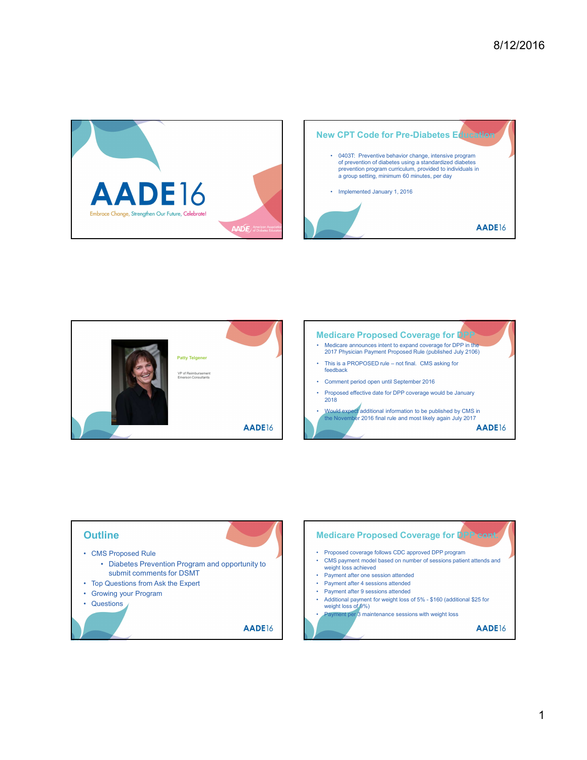





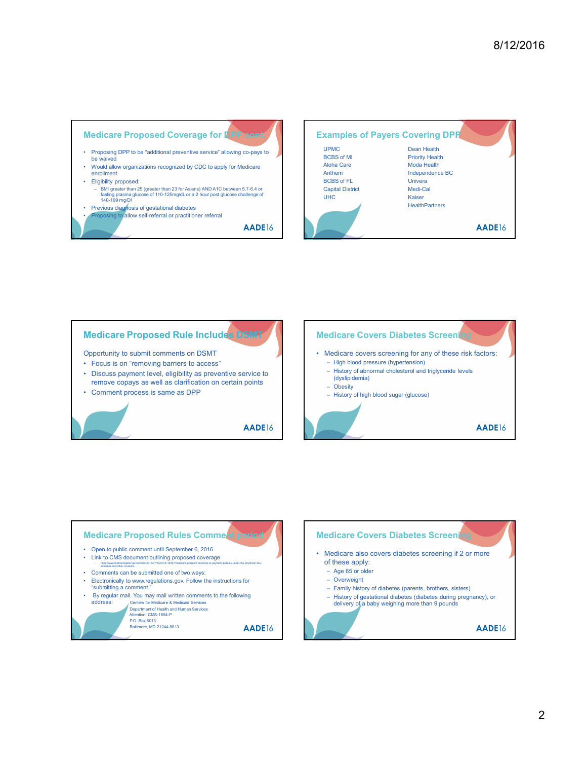





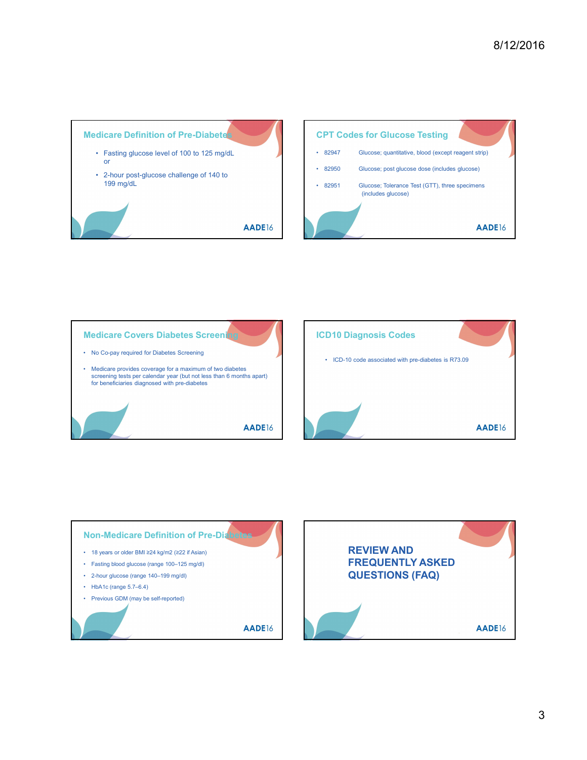





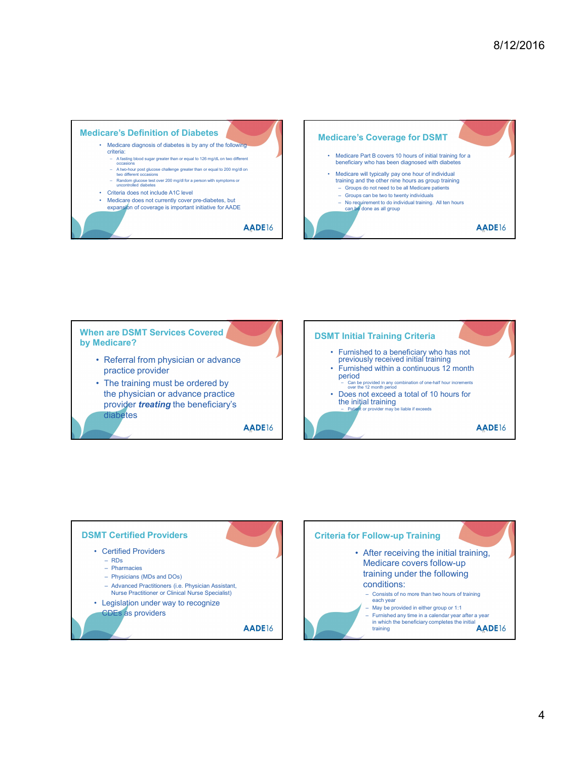





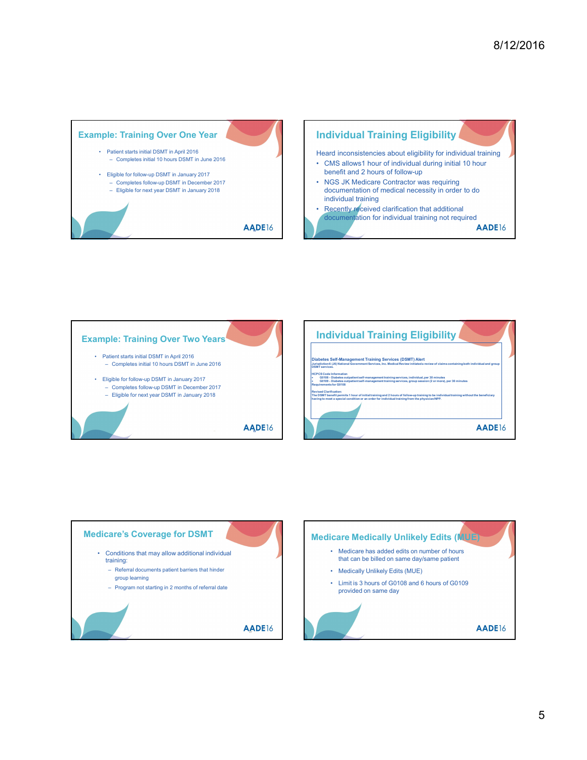





5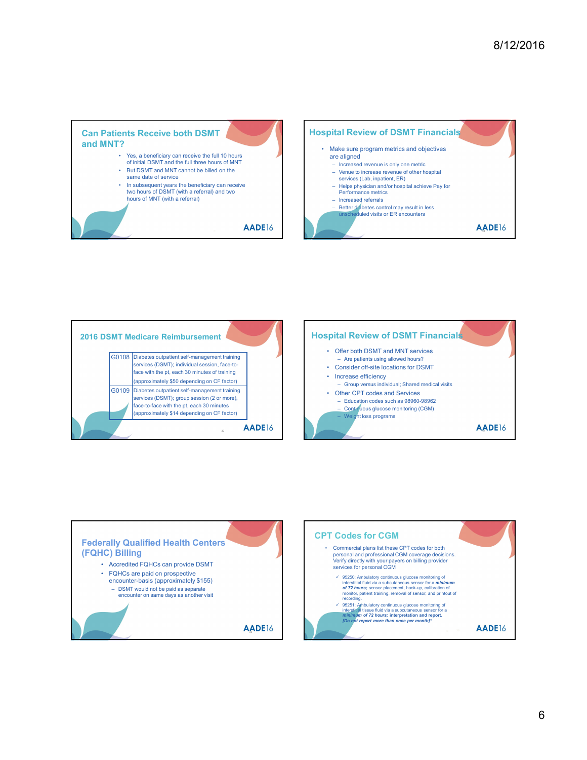





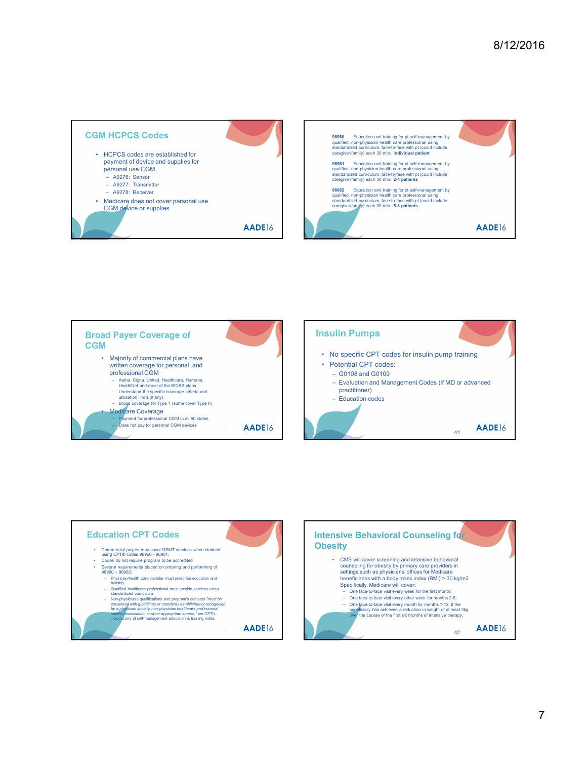